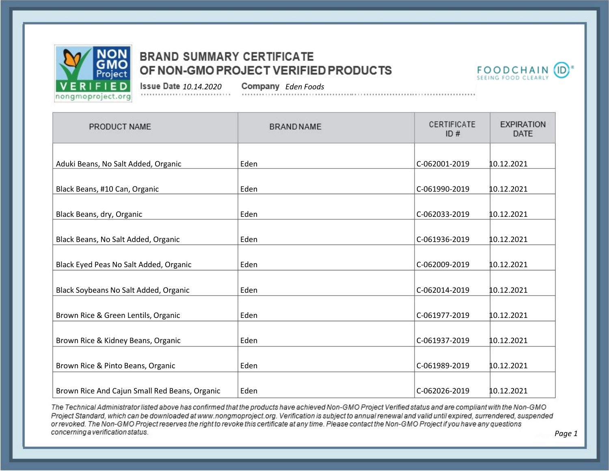



*10.14.2020 Eden Foods*

| PRODUCT NAME                                  | <b>BRAND NAME</b> | CERTIFICATE<br>ID# | <b>EXPIRATION</b><br><b>DATE</b> |
|-----------------------------------------------|-------------------|--------------------|----------------------------------|
| Aduki Beans, No Salt Added, Organic           | Eden              | C-062001-2019      | 10.12.2021                       |
| Black Beans, #10 Can, Organic                 | Eden              | C-061990-2019      | 10.12.2021                       |
| Black Beans, dry, Organic                     | Eden              | C-062033-2019      | 10.12.2021                       |
| Black Beans, No Salt Added, Organic           | Eden              | C-061936-2019      | 10.12.2021                       |
| Black Eyed Peas No Salt Added, Organic        | Eden              | C-062009-2019      | 10.12.2021                       |
| Black Soybeans No Salt Added, Organic         | Eden              | C-062014-2019      | 10.12.2021                       |
| Brown Rice & Green Lentils, Organic           | Eden              | C-061977-2019      | 10.12.2021                       |
| Brown Rice & Kidney Beans, Organic            | Eden              | C-061937-2019      | 10.12.2021                       |
| Brown Rice & Pinto Beans, Organic             | Eden              | C-061989-2019      | 10.12.2021                       |
| Brown Rice And Cajun Small Red Beans, Organic | Eden              | C-062026-2019      | 10.12.2021                       |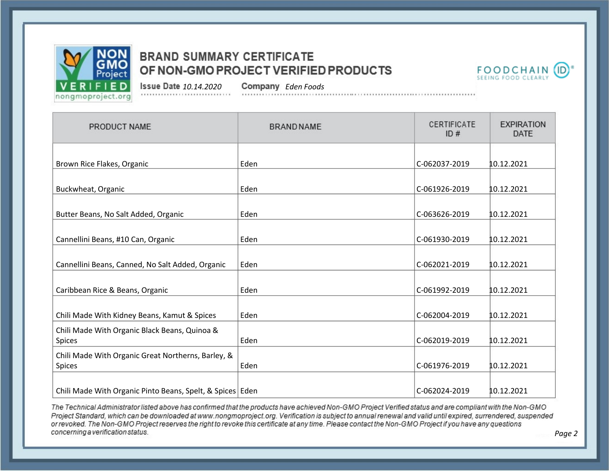



*Page 2*

*10.14.2020 Eden Foods*

| PRODUCT NAME                                                   | <b>BRAND NAME</b> | CERTIFICATE<br>ID# | <b>EXPIRATION</b><br><b>DATE</b> |
|----------------------------------------------------------------|-------------------|--------------------|----------------------------------|
| Brown Rice Flakes, Organic                                     | Eden              | C-062037-2019      | 10.12.2021                       |
| Buckwheat, Organic                                             | Eden              | C-061926-2019      | 10.12.2021                       |
| Butter Beans, No Salt Added, Organic                           | Eden              | C-063626-2019      | 10.12.2021                       |
| Cannellini Beans, #10 Can, Organic                             | Eden              | C-061930-2019      | 10.12.2021                       |
| Cannellini Beans, Canned, No Salt Added, Organic               | Eden              | C-062021-2019      | 10.12.2021                       |
| Caribbean Rice & Beans, Organic                                | Eden              | C-061992-2019      | 10.12.2021                       |
| Chili Made With Kidney Beans, Kamut & Spices                   | Eden              | C-062004-2019      | 10.12.2021                       |
| Chili Made With Organic Black Beans, Quinoa &<br><b>Spices</b> | Eden              | C-062019-2019      | 10.12.2021                       |
| Chili Made With Organic Great Northerns, Barley, &<br>Spices   | Eden              | C-061976-2019      | 10.12.2021                       |
| Chili Made With Organic Pinto Beans, Spelt, & Spices   Eden    |                   | C-062024-2019      | 10.12.2021                       |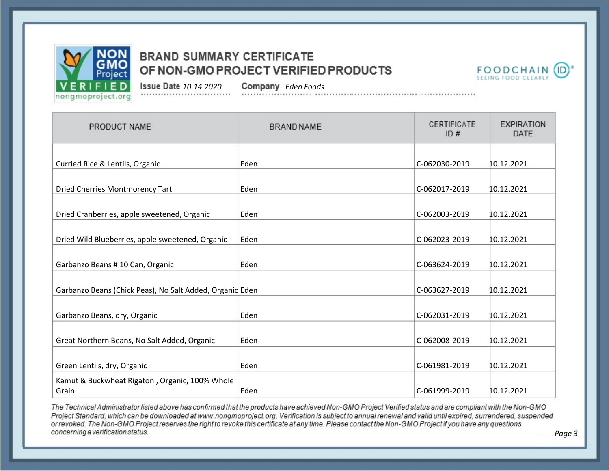



*Page 3*

*10.14.2020 Eden Foods*

| PRODUCT NAME                                             | <b>BRAND NAME</b> | CERTIFICATE<br>ID# | <b>EXPIRATION</b><br><b>DATE</b> |
|----------------------------------------------------------|-------------------|--------------------|----------------------------------|
| Curried Rice & Lentils, Organic                          | Eden              | C-062030-2019      | 10.12.2021                       |
|                                                          |                   |                    |                                  |
| Dried Cherries Montmorency Tart                          | Eden              | C-062017-2019      | 10.12.2021                       |
| Dried Cranberries, apple sweetened, Organic              | Eden              | C-062003-2019      | 10.12.2021                       |
| Dried Wild Blueberries, apple sweetened, Organic         | Eden              | C-062023-2019      | 10.12.2021                       |
| Garbanzo Beans # 10 Can, Organic                         | Eden              | C-063624-2019      | 10.12.2021                       |
| Garbanzo Beans (Chick Peas), No Salt Added, Organid Eden |                   | C-063627-2019      | 10.12.2021                       |
| Garbanzo Beans, dry, Organic                             | Eden              | C-062031-2019      | 10.12.2021                       |
| Great Northern Beans, No Salt Added, Organic             | Eden              | C-062008-2019      | 10.12.2021                       |
| Green Lentils, dry, Organic                              | Eden              | C-061981-2019      | 10.12.2021                       |
| Kamut & Buckwheat Rigatoni, Organic, 100% Whole<br>Grain | Eden              | C-061999-2019      | 10.12.2021                       |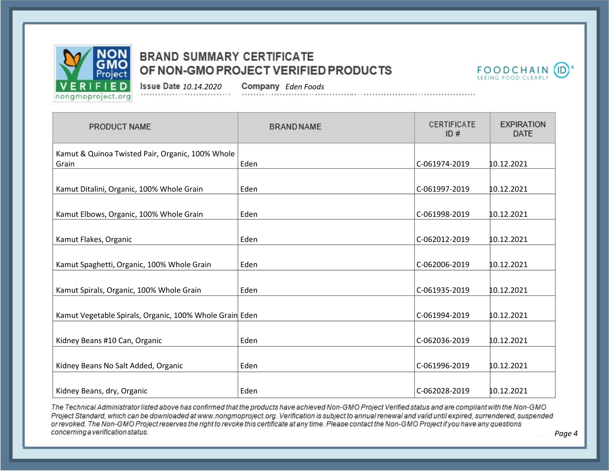



*10.14.2020 Eden Foods*

| PRODUCT NAME                                              | <b>BRAND NAME</b> | CERTIFICATE<br>ID# | <b>EXPIRATION</b><br><b>DATE</b> |
|-----------------------------------------------------------|-------------------|--------------------|----------------------------------|
| Kamut & Quinoa Twisted Pair, Organic, 100% Whole<br>Grain | Eden              | C-061974-2019      | 10.12.2021                       |
|                                                           |                   |                    |                                  |
| Kamut Ditalini, Organic, 100% Whole Grain                 | Eden              | C-061997-2019      | 10.12.2021                       |
| Kamut Elbows, Organic, 100% Whole Grain                   | Eden              | C-061998-2019      | 10.12.2021                       |
| Kamut Flakes, Organic                                     | Eden              | C-062012-2019      | 10.12.2021                       |
| Kamut Spaghetti, Organic, 100% Whole Grain                | Eden              | C-062006-2019      | 10.12.2021                       |
| Kamut Spirals, Organic, 100% Whole Grain                  | Eden              | C-061935-2019      | 10.12.2021                       |
| Kamut Vegetable Spirals, Organic, 100% Whole Grain Eden   |                   | C-061994-2019      | 10.12.2021                       |
| Kidney Beans #10 Can, Organic                             | Eden              | C-062036-2019      | 10.12.2021                       |
| Kidney Beans No Salt Added, Organic                       | Eden              | C-061996-2019      | 10.12.2021                       |
| Kidney Beans, dry, Organic                                | Eden              | C-062028-2019      | 10.12.2021                       |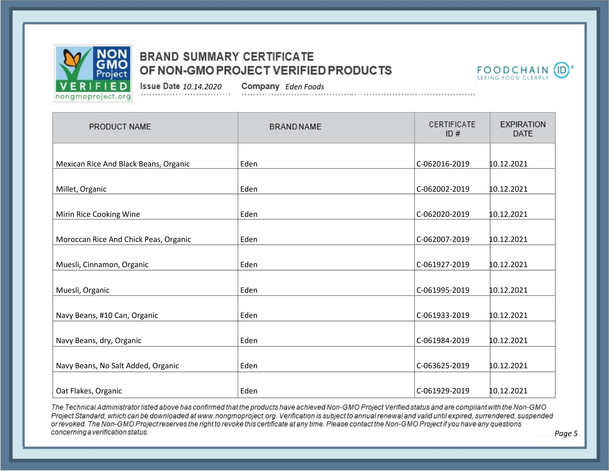



*10.14.2020 Eden Foods*

| PRODUCT NAME                          | <b>BRAND NAME</b> | CERTIFICATE<br>ID# | <b>EXPIRATION</b><br>DATE |
|---------------------------------------|-------------------|--------------------|---------------------------|
| Mexican Rice And Black Beans, Organic | Eden              | C-062016-2019      | 10.12.2021                |
| Millet, Organic                       | Eden              | C-062002-2019      | 10.12.2021                |
| Mirin Rice Cooking Wine               | Eden              | C-062020-2019      | 10.12.2021                |
| Moroccan Rice And Chick Peas, Organic | Eden              | C-062007-2019      | 10.12.2021                |
| Muesli, Cinnamon, Organic             | Eden              | C-061927-2019      | 10.12.2021                |
| Muesli, Organic                       | Eden              | C-061995-2019      | 10.12.2021                |
| Navy Beans, #10 Can, Organic          | Eden              | C-061933-2019      | 10.12.2021                |
| Navy Beans, dry, Organic              | Eden              | C-061984-2019      | 10.12.2021                |
| Navy Beans, No Salt Added, Organic    | Eden              | C-063625-2019      | 10.12.2021                |
| Oat Flakes, Organic                   | Eden              | C-061929-2019      | 10.12.2021                |

The Technical Administrator listed above has confirmed that the products have achieved Non-GMO Project Verified status and are compliant with the Non-GMO Project Standard, which can be downloaded at www.nongmoproject.org. Verification is subject to annual renewal and valid until expired, surrendered, suspended or revoked. The Non-GMO Project reserves the right to revoke this certificate at any time. Please contact the Non-GMO Project if you have any questions concerning a verification status.

*Page 5*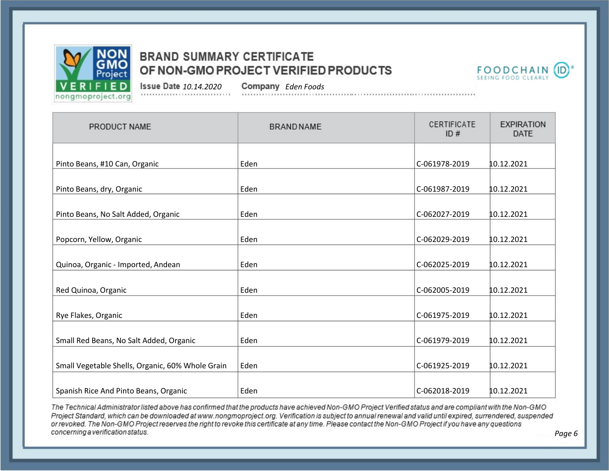



*10.14.2020 Eden Foods*

| PRODUCT NAME                                     | <b>BRAND NAME</b> | CERTIFICATE<br>ID# | <b>EXPIRATION</b><br><b>DATE</b> |
|--------------------------------------------------|-------------------|--------------------|----------------------------------|
| Pinto Beans, #10 Can, Organic                    | Eden              | C-061978-2019      | 10.12.2021                       |
| Pinto Beans, dry, Organic                        | Eden              | C-061987-2019      | 10.12.2021                       |
| Pinto Beans, No Salt Added, Organic              | Eden              | C-062027-2019      | 10.12.2021                       |
| Popcorn, Yellow, Organic                         | Eden              | C-062029-2019      | 10.12.2021                       |
| Quinoa, Organic - Imported, Andean               | Eden              | C-062025-2019      | 10.12.2021                       |
| Red Quinoa, Organic                              | Eden              | C-062005-2019      | 10.12.2021                       |
| Rye Flakes, Organic                              | Eden              | C-061975-2019      | 10.12.2021                       |
| Small Red Beans, No Salt Added, Organic          | Eden              | C-061979-2019      | 10.12.2021                       |
| Small Vegetable Shells, Organic, 60% Whole Grain | Eden              | C-061925-2019      | 10.12.2021                       |
| Spanish Rice And Pinto Beans, Organic            | Eden              | C-062018-2019      | 10.12.2021                       |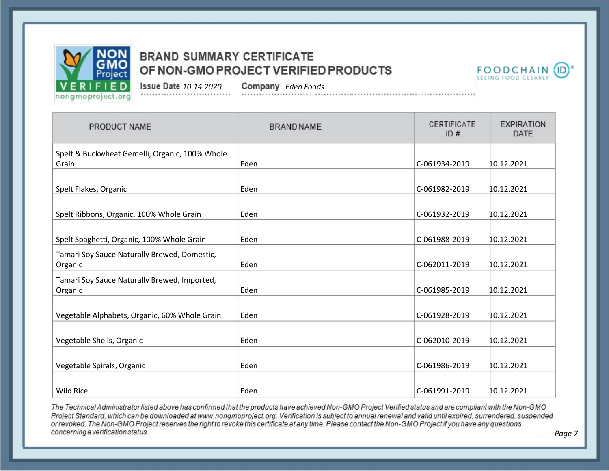



*10.14.2020 Eden Foods*

| PRODUCT NAME                                   | <b>BRAND NAME</b> | CERTIFICATE<br>ID# | <b>EXPIRATION</b><br><b>DATE</b> |
|------------------------------------------------|-------------------|--------------------|----------------------------------|
| Spelt & Buckwheat Gemelli, Organic, 100% Whole |                   |                    |                                  |
| Grain                                          | Eden              | C-061934-2019      | 10.12.2021                       |
| Spelt Flakes, Organic                          | Eden              | C-061982-2019      | 10.12.2021                       |
|                                                |                   |                    |                                  |
| Spelt Ribbons, Organic, 100% Whole Grain       | Eden              | C-061932-2019      | 10.12.2021                       |
|                                                | Eden              | C-061988-2019      | 10.12.2021                       |
| Spelt Spaghetti, Organic, 100% Whole Grain     |                   |                    |                                  |
| Tamari Soy Sauce Naturally Brewed, Domestic,   |                   |                    |                                  |
| Organic                                        | Eden              | C-062011-2019      | 10.12.2021                       |
| Tamari Soy Sauce Naturally Brewed, Imported,   |                   |                    |                                  |
| Organic                                        | Eden              | C-061985-2019      | 10.12.2021                       |
|                                                |                   |                    |                                  |
| Vegetable Alphabets, Organic, 60% Whole Grain  | Eden              | C-061928-2019      | 10.12.2021                       |
|                                                |                   |                    |                                  |
| Vegetable Shells, Organic                      | Eden              | C-062010-2019      | 10.12.2021                       |
|                                                |                   |                    |                                  |
| Vegetable Spirals, Organic                     | Eden              | C-061986-2019      | 10.12.2021                       |
|                                                |                   |                    |                                  |
| <b>Wild Rice</b>                               | Eden              | C-061991-2019      | 10.12.2021                       |